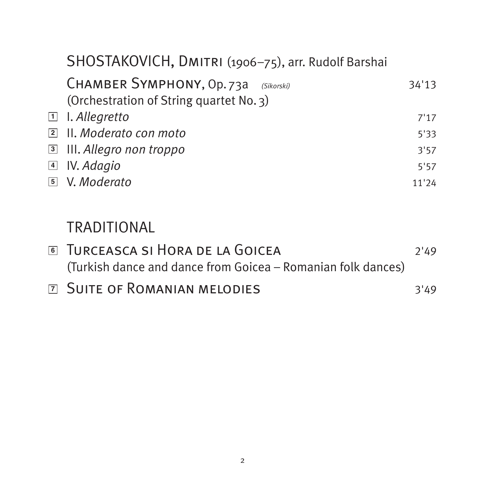| SHOSTAKOVICH, DMITRI (1906-75), arr. Rudolf Barshai                                |       |
|------------------------------------------------------------------------------------|-------|
| CHAMBER SYMPHONY, Op. 73a<br>(Sikorski)<br>(Orchestration of String quartet No. 3) | 34'13 |
| $\Box$ I. Allegretto                                                               | 7'17  |
| $\boxed{2}$ II. Moderato con moto                                                  | 5'33  |
| <b>3</b> III. Allegro non troppo                                                   | 3'57  |
| $\Box$ IV. Adagio                                                                  | 5'57  |
| 5 V. Moderato                                                                      | 11'24 |
|                                                                                    |       |

# TRADITIONAL

| <b>JURCEASCA SI HORA DE LA GOICEA</b>                        | 7'49 |
|--------------------------------------------------------------|------|
| (Turkish dance and dance from Goicea – Romanian folk dances) |      |
| <b>Z SUITE OF ROMANIAN MELODIES</b>                          | 3'49 |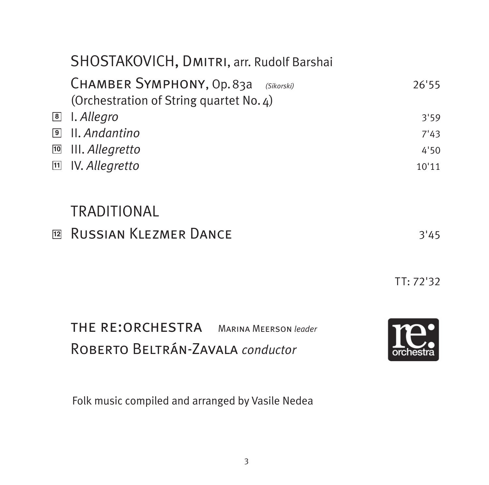|             | SHOSTAKOVICH, DMITRI, arr. Rudolf Barshai                                          |       |
|-------------|------------------------------------------------------------------------------------|-------|
|             | CHAMBER SYMPHONY, Op. 83a<br>(Sikorski)<br>(Orchestration of String quartet No. 4) | 26'55 |
| 8           | I. Allegro                                                                         | 3'59  |
| $\boxed{9}$ | II. Andantino                                                                      | 7'43  |
| 10          | III. Allegretto                                                                    | 4'50  |
|             | <b>m</b> IV. Allegretto                                                            | 10'11 |
|             | TRADITIONAL                                                                        |       |
| 12          | RUSSIAN KLEZMER DANCE                                                              | 3'45  |

TT: 72'32

 the re:orchestra Marina Meerson *leader* Roberto Beltrán-Zavala *conductor*



Folk music compiled and arranged by Vasile Nedea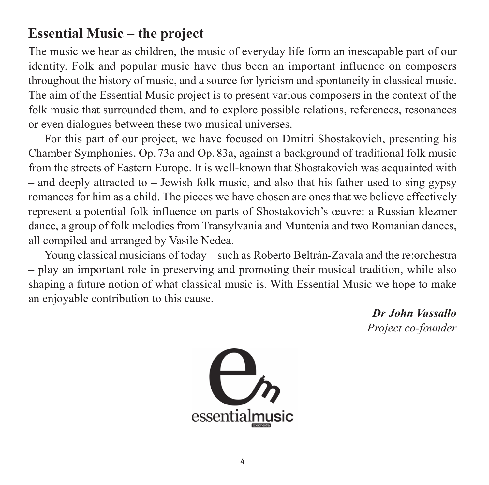## **Essential Music – the project**

The music we hear as children, the music of everyday life form an inescapable part of our identity. Folk and popular music have thus been an important influence on composers throughout the history of music, and a source for lyricism and spontaneity in classical music. The aim of the Essential Music project is to present various composers in the context of the folk music that surrounded them, and to explore possible relations, references, resonances or even dialogues between these two musical universes.

For this part of our project, we have focused on Dmitri Shostakovich, presenting his Chamber Symphonies, Op. 73a and Op. 83a, against a background of traditional folk music from the streets of Eastern Europe. It is well-known that Shostakovich was acquainted with  $-$  and deeply attracted to  $-$  Jewish folk music, and also that his father used to sing gypsy romances for him as a child. The pieces we have chosen are ones that we believe effectively represent a potential folk influence on parts of Shostako vich's œuvre: a Russian klezmer dance, a group of folk melodies from Transylvania and Muntenia and two Romanian dances, all compiled and arranged by Vasile Nedea.

Young classical musicians of today – such as Roberto Beltrán-Zavala and the re:orchestra  $-$  play an important role in preserving and promoting their musical tradition, while also shaping a future notion of what classical music is. With Essential Music we hope to make an enjoyable contribution to this cause.

> *Dr John Vassallo Project co-founder*

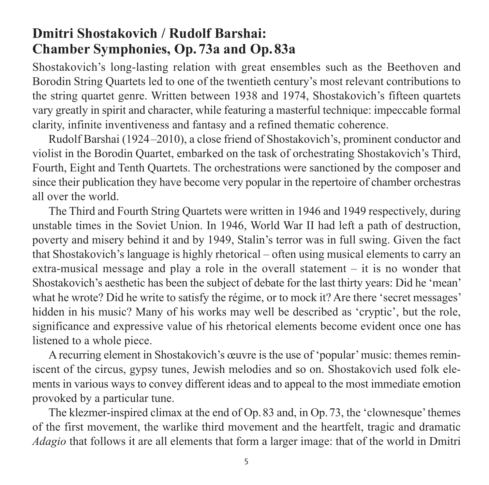## **Dmitri Shostakovich / Rudolf Barshai: Chamber Symphonies, Op. 73a and Op. 83a**

Shostakovich's long-lasting relation with great ensembles such as the Beethoven and Borodin String Quartets led to one of the twentieth century's most relevant contributions to the string quartet genre. Written between 1938 and 1974, Shostakovich's fifteen quartets vary greatly in spirit and character, while featuring a masterful tech nique: impeccable formal clarity, infinite inventiveness and fantasy and a refined thematic coherence.

Rudolf Barshai (1924–2010), a close friend of Shostakovich's, prominent conductor and violist in the Borodin Quartet, embarked on the task of orchestrating Shostakovich's Third, Fourth, Eight and Tenth Quartets. The orchestrations were sanctioned by the composer and since their publication they have become very popular in the repertoire of chamber orchestras all over the world.

The Third and Fourth String Quartets were written in 1946 and 1949 respectively, during unstable times in the Soviet Union. In 1946, World War II had left a path of destruction, poverty and misery behind it and by 1949, Stalin's terror was in full swing. Given the fact that Shosta kovich's language is highly rhetorical – often using musical elements to carry an extra-musical message and play a role in the overall statement – it is no wonder that Shostakovich's aesthetic has been the sub ject of debate for the last thirty years: Did he 'mean' what he wrote? Did he write to satisfy the régime, or to mock it? Are there 'secret messages' hidden in his music? Many of his works may well be described as 'cryptic', but the role, significance and expressive value of his rhetorical elements become evident once one has listened to a whole piece.

A recurring element in Shostakovich's œuvre is the use of 'popular' music: themes remin iscent of the circus, gypsy tunes, Jewish melodies and so on. Shostakovich used folk elements in various ways to convey different ideas and to appeal to the most immediate emotion provoked by a particular tune.

The klezmer-inspired climax at the end of Op.83 and, in Op.73, the 'clown esque' themes of the first movement, the warlike third movement and the heartfelt, tragic and dramatic *Adagio* that follows it are all elements that form a larger image: that of the world in Dmitri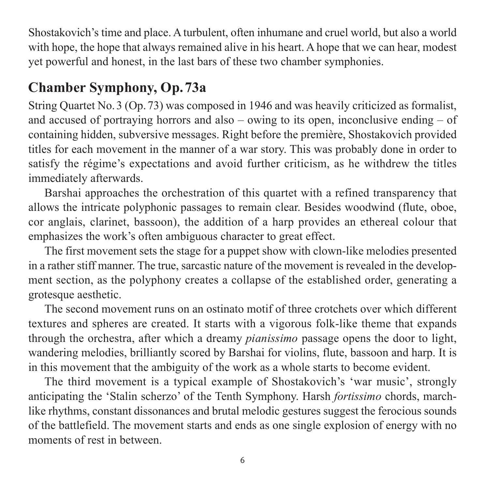Shostakovich's time and place. A turbulent, often inhumane and cruel world, but also a world with hope, the hope that always remained alive in his heart. A hope that we can hear, modest yet powerful and honest, in the last bars of these two chamber symphonies.

# **Chamber Symphony, Op. 73a**

String Quartet No. 3 (Op. 73) was composed in 1946 and was heavily criticized as formalist, and accused of portraying horrors and also – owing to its open, inconclusive ending – of containing hidden, subversive messages. Right before the première, Shosta kovich provided titles for each movement in the manner of a war story. This was probably done in order to satisfy the régime's expectations and avoid further criticism, as he withdrew the titles immediately afterwards.

Barshai approaches the orchestration of this quartet with a refined transparency that allows the intricate polyphonic passages to remain clear. Besides woodwind (flute, oboe, cor anglais, clarinet, bassoon), the addition of a harp provides an ethereal colour that emphasizes the work's often ambiguous character to great effect.

The first movement sets the stage for a puppet show with clown-like melodies presented in a rather stiff manner. The true, sarcastic nature of the movement is revealed in the development section, as the polyphony creates a collapse of the established order, generating a grotesque aesthetic.

The second movement runs on an ostinato motif of three crotchets over which different textures and spheres are created. It starts with a vigorous folk-like theme that expands through the orchestra, after which a dreamy *pianissimo* passage opens the door to light, wandering melodies, brilliantly scored by Barshai for violins, flute, bassoon and harp. It is in this movement that the ambiguity of the work as a whole starts to become evident.

The third movement is a typical example of Shostakovich's 'war music', strongly anticipating the 'Stalin scherzo' of the Tenth Symphony. Harsh *fortissimo* chords, marchlike rhythms, constant dissonances and brutal melodic gestures suggest the ferocious sounds of the battlefield. The movement starts and ends as one single explosion of energy with no moments of rest in between.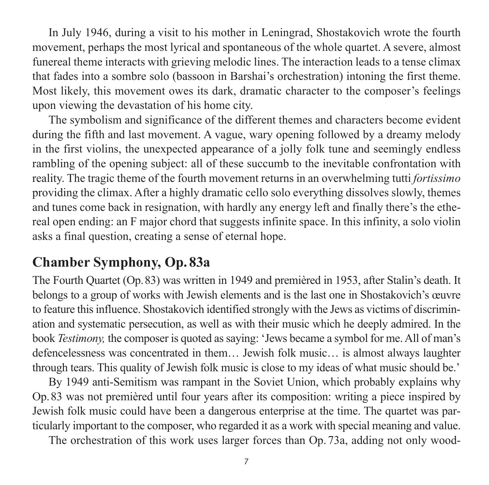In July 1946, during a visit to his mother in Leningrad, Shostakovich wrote the fourth movement, perhaps the most lyrical and spontaneous of the whole quartet. A severe, almost funereal theme interacts with grieving melodic lines. The interaction leads to a tense climax that fades into a sombre solo (bassoon in Barshai's orchestration) intoning the first theme. Most likely, this movement owes its dark, dramatic character to the composer's feelings upon viewing the devastation of his home city.

The symbolism and significance of the different themes and characters become evi dent during the fifth and last movement. A vague, wary opening followed by a dreamy melody in the first violins, the unexpected appearance of a jolly folk tune and seemingly endless rambling of the opening subject: all of these succumb to the inevitable confrontation with reality. The tragic theme of the fourth movement returns in an overwhelming tutti *fortissimo* providing the climax. After a highly dramatic cello solo every thing dis solves slowly, themes and tunes come back in resignation, with hardly any energy left and finally there's the ethe real open ending: an F major chord that suggests infinite space. In this infinity, a solo violin asks a final question, creating a sense of eternal hope.

# **Chamber Symphony, Op. 83a**

The Fourth Quartet (Op.83) was written in 1949 and premièred in 1953, after Stalin's death. It belongs to a group of works with Jewish elements and is the last one in Shosta kovich's œuvre to feature this influence. Shostakovich identified strongly with the Jews as victims of discrimination and systematic persecution, as well as with their music which he deeply admired. In the book *Testimony*, the composer is quoted as saying: 'Jews became a symbol for me. All of man's defence lessness was concentrated in them... Jewish folk music... is almost always laughter through tears. This quality of Jewish folk music is close to my ideas of what music should be.'

By 1949 anti-Semitism was rampant in the Soviet Union, which probably explains why Op.83 was not premièred until four years after its composition: writing a piece inspired by Jewish folk music could have been a dangerous enterprise at the time. The quartet was particularly important to the composer, who regarded it as a work with special meaning and value.

The orchestration of this work uses larger forces than Op. 73a, adding not only wood-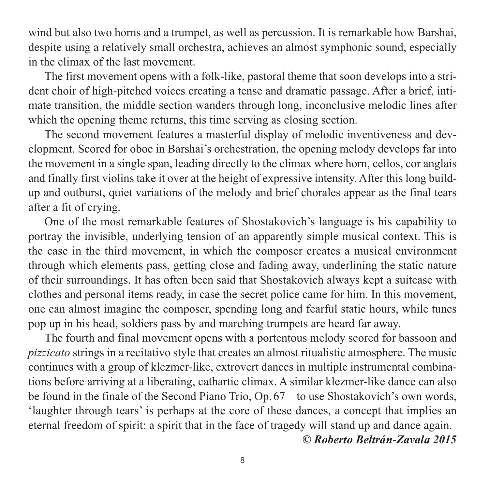wind but also two horns and a trumpet, as well as percussion. It is remarkable how Barshai, despite using a relatively small orchestra, achieves an almost symphonic sound, especially in the climax of the last movement.

The first movement opens with a folk-like, pastoral theme that soon develops into a stri dent choir of high-pitched voices creating a tense and dramatic passage. After a brief, intimate transition, the middle section wanders through long, inconclusive melodic lines after which the opening theme returns, this time serving as closing section.

The second movement features a masterful display of melodic inventiveness and develop ment. Scored for oboe in Barshai's orchestration, the opening melody develops far into the movement in a single span, leading directly to the climax where horn, cellos, cor anglais and finally first violins take it over at the height of expressive intensity. After this long buildup and outburst, quiet variations of the melody and brief chorales appear as the final tears after a fit of crying.

One of the most remarkable features of Shostakovich's language is his capability to portray the invisible, underlying tension of an apparently simple musical context. This is the case in the third movement, in which the composer creates a musical environment through which elements pass, getting close and fading away, underlining the static nature of their surroundings. It has often been said that Shostako vich always kept a suitcase with clothes and personal items ready, in case the secret police came for him. In this movement, one can almost imagine the composer, spending long and fearful static hours, while tunes pop up in his head, soldiers pass by and marching trumpets are heard far away.

The fourth and final movement opens with a portentous melody scored for bassoon and *pizzicato* strings in a recitativo style that creates an almost ritualistic atmosphere. The music continues with a group of klezmer-like, extrovert dances in multiple instrumental combina tions before arriving at a liberating, cathartic climax. A similar klezmer-like dance can also be found in the finale of the Second Piano Trio, Op. 67 – to use Shostakovich's own words, 'laughter through tears' is perhaps at the core of these dances, a concept that implies an eternal freedom of spirit: a spirit that in the face of tragedy will stand up and dance again.

*© Roberto Beltrán-Zavala 2015*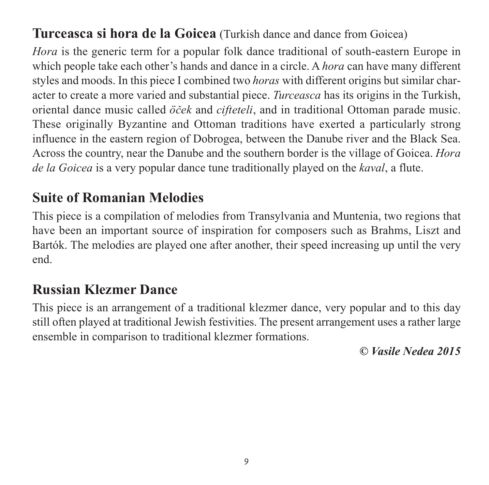## **Turceasca si hora de la Goicea** (Turkish dance and dance from Goicea)

*Hora* is the generic term for a popular folk dance traditional of south-eastern Europe in which people take each other's hands and dance in a circle. A *hora* can have many different styles and moods. In this piece I combined two *horas* with different origins but similar char acter to create a more varied and substantial piece. *Turceasca* has its origins in the Turkish, oriental dance music called *öček* and *cifteteli*, and in traditional Ottoman parade music. These originally Byzantine and Ottoman traditions have exerted a particularly strong influence in the eastern region of Dobrogea, between the Danube river and the Black Sea. Across the country, near the Danube and the southern border is the village of Goicea. *Hora de la Goicea* is a very popular dance tune traditionally played on the *kaval*, a flute.

## **Suite of Romanian Melodies**

This piece is a compilation of melodies from Transylvania and Muntenia, two regions that have been an important source of inspiration for composers such as Brahms, Liszt and Bartók. The melodies are played one after another, their speed increasing up until the very end.

# **Russian Klezmer Dance**

This piece is an arrangement of a traditional klezmer dance, very popular and to this day still often played at traditional Jewish festivities. The present arrangement uses a rather large ensemble in comparison to traditional klezmer formations.

*© Vasile Nedea 2015*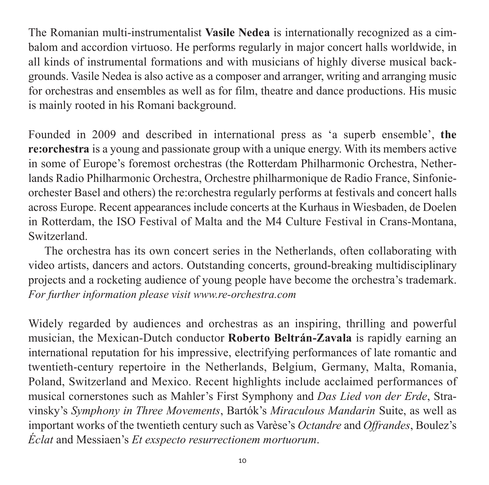The Romanian multi-instrumentalist **Vasile Nedea** is internationally recognized as a cim balom and accordion virtuoso. He performs regularly in major concert halls worldwide, in all kinds of instrumental formations and with musicians of highly diverse musical backgrounds. Vasile Nedea is also active as a composer and arranger, writing and arranging music for orchestras and ensembles as well as for film, theatre and dance productions. His music is mainly rooted in his Romani background.

Founded in 2009 and described in international press as 'a superb ensemble', **the re:orchestra** is a young and passionate group with a unique energy. With its members active in some of Europe's foremost orchestras (the Rotterdam Philharmonic Orchestra, Nether lands Radio Philharmonic Orchestra, Orchestre philharmonique de Radio France, Sinfonieorchester Basel and others) the re:orchestra regularly performs at festivals and concert halls across Europe. Recent appearances include concerts at the Kurhaus in Wiesbaden, de Doelen in Rotterdam, the ISO Festival of Malta and the M4 Culture Festival in Crans-Montana, Switzerland.

The orchestra has its own concert series in the Netherlands, often collaborating with video artists, dancers and actors. Outstanding concerts, ground-breaking multidisciplinary projects and a rocketing audience of young people have become the orchestra's trademark. *For further information please visit www.re-orchestra.com* 

Widely regarded by audiences and orchestras as an inspiring, thrilling and powerful musician, the Mexican-Dutch conductor **Roberto Beltrán-Zavala** is rapidly earning an international reputation for his impressive, electrifying performances of late romantic and twentieth-century repertoire in the Netherlands, Belgium, Germany, Malta, Romania, Poland, Switzerland and Mexico. Recent highlights include acclaimed performances of musical cornerstones such as Mahler's First Symphony and *Das Lied von der Erde*, Stra vinsky's *Symphony in Three Movements*, Bartók's *Miraculous Mandarin* Suite, as well as important works of the twentieth century such as Varèse's *Octandre* and *Offrandes*, Boulez's *Éclat* and Messiaen's *Et exspecto resurrectionem mortuorum*.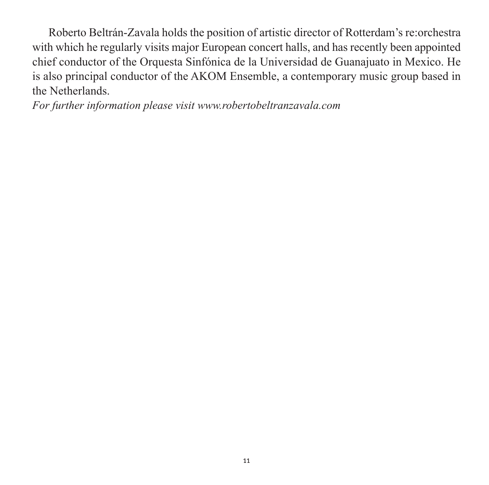Roberto Beltrán-Zavala holds the position of artistic director of Rotterdam's re:orchestra with which he regularly visits major European concert halls, and has recently been appointed chief conductor of the Orquesta Sinfónica de la Universidad de Guanajuato in Mexico. He is also principal conductor of the AKOM Ensemble, a contemporary music group based in the Netherlands.

*For further information please visit www.robertobeltranzavala.com*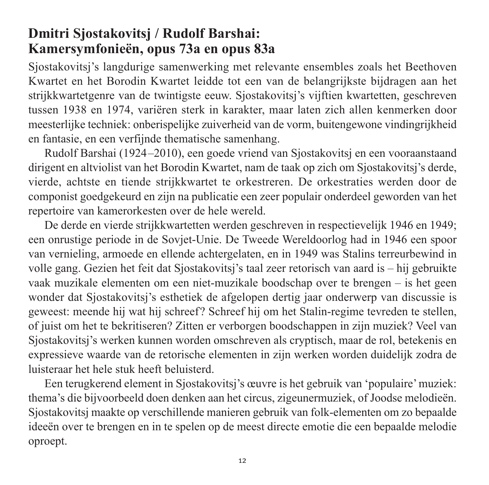## **Dmitri Sjostakovitsj / Rudolf Barshai: Kamersymfonieën, opus 73a en opus 83a**

Sjostakovitsj's langdurige samenwerking met relevante ensembles zoals het Beethoven Kwartet en het Borodin Kwartet leidde tot een van de belangrijkste bijdragen aan het strijkkwartetgenre van de twintigste eeuw. Sjostakovitsj's vijftien kwartetten, geschre ven tussen 1938 en 1974, variëren sterk in karakter, maar laten zich allen kenmerken door meesterlijke techniek: onberispelijke zuiverheid van de vorm, buitengewone vinding rijkheid en fantasie, en een verfijnde thematische samenhang.

Rudolf Barshai (1924–2010), een goede vriend van Sjostakovitsj en een vooraan staand dirigent en altviolist van het Borodin Kwartet, nam de taak op zich om Sjostakovitsj's derde, vierde, achtste en tiende strijkkwartet te orkestreren. De orkestraties werden door de componist goedgekeurd en zijn na publicatie een zeer populair onder deel geworden van het repertoire van kamerorkesten over de hele wereld.

De derde en vierde strijkkwartetten werden geschreven in respectievelijk 1946 en 1949; een onrustige periode in de Sovjet-Unie. De Tweede Wereldoorlog had in 1946 een spoor van vernieling, armoede en ellende achtergelaten, en in 1949 was Stalins terreurbewind in volle gang. Gezien het feit dat Sjostakovitsj's taal zeer retorisch van aard is – hij gebruikte vaak muzikale elementen om een niet-muzikale boodschap over te brengen – is het geen wonder dat Sjostakovitsj's esthetiek de afgelopen dertig jaar onderwerp van discussie is geweest: meende hij wat hij schreef? Schreef hij om het Stalin-regime tevreden te stellen, of juist om het te bekritiseren? Zitten er verborgen bood schappen in zijn muziek? Veel van Sjostakovitsj's werken kunnen worden om schreven als cryptisch, maar de rol, betekenis en expressieve waarde van de retorische elementen in zijn werken worden duidelijk zodra de luisteraar het hele stuk heeft beluisterd.

Een terugkerend element in Sjostakovitsj's œuvre is het gebruik van 'populaire' muziek: thema's die bijvoorbeeld doen denken aan het circus, zigeunermuziek, of Joodse melodieën. Sjostakovitsj maakte op verschillende manieren gebruik van folk-elementen om zo bepaalde ideeën over te brengen en in te spelen op de meest directe emotie die een bepaalde melodie oproept.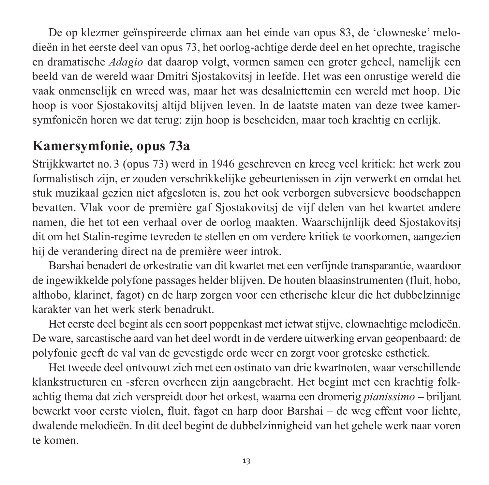De op klezmer geïnspireerde climax aan het einde van opus 83, de 'clowneske' melodieën in het eerste deel van opus 73, het oorlog-achtige derde deel en het oprechte, tragische en dramatische *Adagio* dat daarop volgt, vormen samen een groter geheel, namelijk een beeld van de wereld waar Dmitri Sjostakovitsj in leefde. Het was een onrustige wereld die vaak onmenselijk en wreed was, maar het was desalniettemin een wereld met hoop. Die hoop is voor Sjostakovitsj altijd blijven leven. In de laatste maten van deze twee kamer symfonieën horen we dat terug: zijn hoop is bescheiden, maar toch krachtig en eerlijk.

## **Kamersymfonie, opus 73a**

Strijkkwartet no. 3 (opus 73) werd in 1946 geschreven en kreeg veel kritiek: het werk zou formalistisch zijn, er zouden verschrikkelijke gebeurtenissen in zijn verwerkt en omdat het stuk muzikaal gezien niet afgesloten is, zou het ook verborgen subversieve boodschappen bevatten. Vlak voor de première gaf Sjostakovitsj de vijf delen van het kwartet andere namen, die het tot een verhaal over de oorlog maakten. Waarschijnlijk deed Sjostakovitsj dit om het Stalin-regime tevreden te stellen en om verdere kritiek te voorkomen, aangezien hij de verandering direct na de première weer introk.

Barshai benadert de orkestratie van dit kwartet met een verfijnde transparantie, waardoor de ingewikkelde polyfone passages helder blijven. De houten blaasinstrumenten (fluit, hobo, althobo, klarinet, fagot) en de harp zorgen voor een etherische kleur die het dubbelzinnige karakter van het werk sterk benadrukt.

Het eerste deel begint als een soort poppenkast met ietwat stijve, clownachtige melo dieën. De ware, sarcastische aard van het deel wordt in de verdere uitwerking ervan geopen baard: de polyfonie geeft de val van de gevestigde orde weer en zorgt voor groteske esthetiek.

Het tweede deel ontvouwt zich met een ostinato van drie kwartnoten, waar verschillende klankstructuren en -sferen overheen zijn aangebracht. Het begint met een krachtig folkachtig thema dat zich verspreidt door het orkest, waarna een dromerig *pianissimo* – briljant bewerkt voor eerste violen, fluit, fagot en harp door Barshai – de weg effent voor lichte, dwalende melodieën. In dit deel begint de dubbelzinnigheid van het gehele werk naar voren te komen.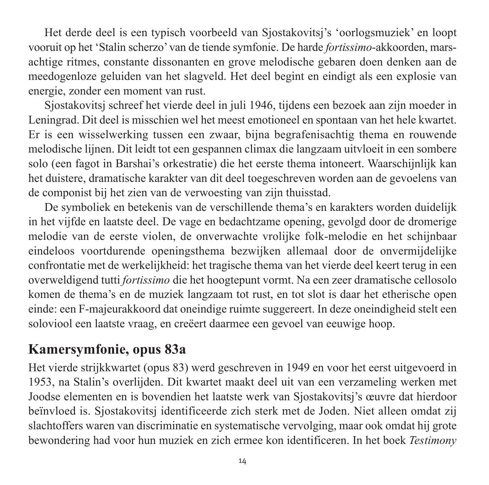Het derde deel is een typisch voorbeeld van Sjostakovitsj's 'oorlogsmuziek' en loopt vooruit op het 'Stalin scherzo' van de tiende symfonie. De harde *fortissimo*-akkoorden, marsachtige ritmes, constante dissonanten en grove melodische gebaren doen denken aan de meedogenloze geluiden van het slagveld. Het deel begint en eindigt als een explosie van energie, zonder een moment van rust.

Sjostakovitsj schreef het vierde deel in juli 1946, tijdens een bezoek aan zijn moeder in Leningrad. Dit deel is misschien wel het meest emotioneel en spontaan van het hele kwartet. Er is een wisselwerking tussen een zwaar, bijna begrafenisachtig thema en rouwende melodische lijnen. Dit leidt tot een gespannen climax die langzaam uitvloeit in een sombere solo (een fagot in Barshai's orkestratie) die het eerste thema intoneert. Waarschijnlijk kan het duistere, dramatische karakter van dit deel toegeschreven worden aan de gevoelens van de componist bij het zien van de verwoesting van zijn thuisstad.

De symboliek en betekenis van de verschillende thema's en karakters worden duidelijk in het vijfde en laatste deel. De vage en bedachtzame opening, gevolgd door de dromerige melodie van de eerste violen, de onverwachte vrolijke folk-melodie en het schijnbaar eindeloos voortdurende openingsthema bezwijken allemaal door de onvermijdelijke confrontatie met de werkelijkheid: het tragische thema van het vierde deel keert terug in een overweldigend tutti *fortissimo* die het hoogtepunt vormt. Na een zeer dramatische cellosolo komen de thema's en de muziek langzaam tot rust, en tot slot is daar het etherische open einde: een F-majeurakkoord dat oneindige ruimte suggereert. In deze oneindigheid stelt een soloviool een laatste vraag, en creëert daarmee een gevoel van eeuwige hoop.

## **Kamersymfonie, opus 83a**

Het vierde strijkkwartet (opus 83) werd geschreven in 1949 en voor het eerst uitgevoerd in 1953, na Stalin's overlijden. Dit kwartet maakt deel uit van een verzameling werken met Joodse elementen en is bovendien het laatste werk van Sjostakovitsj's œuvre dat hier door beïnvloed is. Sjostakovitsj identificeerde zich sterk met de Joden. Niet alleen omdat zij slachtoffers waren van discriminatie en systematische vervolging, maar ook omdat hij grote bewondering had voor hun muziek en zich ermee kon identificeren. In het boek *Testimony*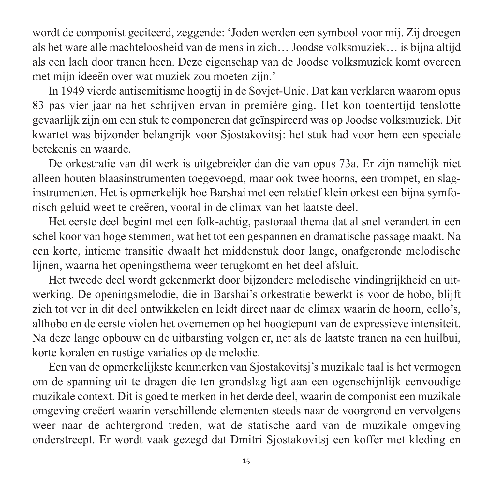wordt de componist geciteerd, zeggende: 'Joden werden een sym bool voor mij. Zij droegen als het ware alle machteloosheid van de mens in zich… Joodse volksmuziek… is bijna altijd als een lach door tranen heen. Deze eigenschap van de Joodse volksmuziek komt overeen met mijn ideeën over wat muziek zou moeten zijn.'

In 1949 vierde antisemitisme hoogtij in de Sovjet-Unie. Dat kan verklaren waarom opus 83 pas vier jaar na het schrijven ervan in première ging. Het kon toentertijd tenslotte gevaarlijk zijn om een stuk te componeren dat geïnspireerd was op Joodse volksmuziek. Dit kwartet was bijzonder belangrijk voor Sjostakovitsj: het stuk had voor hem een speciale betekenis en waarde.

De orkestratie van dit werk is uitgebreider dan die van opus 73a. Er zijn namelijk niet alleen houten blaasinstrumenten toegevoegd, maar ook twee hoorns, een trompet, en slag instrumenten. Het is opmerkelijk hoe Barshai met een relatief klein orkest een bijna symfonisch geluid weet te creëren, vooral in de climax van het laatste deel.

Het eerste deel begint met een folk-achtig, pastoraal thema dat al snel verandert in een schel koor van hoge stemmen, wat het tot een gespannen en dramatische passage maakt. Na een korte, intieme transitie dwaalt het middenstuk door lange, onafgeronde melodische lijnen, waarna het openingsthema weer terugkomt en het deel afsluit.

Het tweede deel wordt gekenmerkt door bijzondere melodische vindingrijkheid en uitwerking. De openingsmelodie, die in Barshai's orkestratie bewerkt is voor de hobo, blijft zich tot ver in dit deel ontwikkelen en leidt direct naar de climax waarin de hoorn, cello's, althobo en de eerste violen het overnemen op het hoogtepunt van de expressieve intensiteit. Na deze lange opbouw en de uitbarsting volgen er, net als de laatste tranen na een huilbui, korte koralen en rustige variaties op de melodie.

Een van de opmerkelijkste kenmerken van Sjostakovitsj's muzikale taal is het vermogen om de spanning uit te dragen die ten grondslag ligt aan een ogenschijnlijk eenvoudige muzikale context. Dit is goed te merken in het derde deel, waarin de componist een muzikale omgeving creëert waarin verschillende elementen steeds naar de voo rgrond en vervolgens weer naar de achtergrond treden, wat de statische aard van de muzikale omgeving onderstreept. Er wordt vaak gezegd dat Dmitri Sjostakovitsj een koffer met kleding en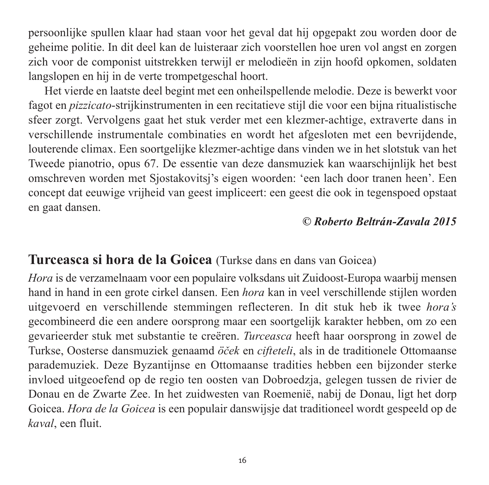persoonlijke spullen klaar had staan voor het geval dat hij opgepakt zou worden door de geheime politie. In dit deel kan de luisteraar zich voorstellen hoe uren vol angst en zorgen zich voor de componist uitstrekken terwijl er melodieën in zijn hoofd opkomen, soldaten langslopen en hij in de verte trompetgeschal hoort.

Het vierde en laatste deel begint met een onheilspellende melodie. Deze is bewerkt voor fagot en *pizzicato*-strijkinstrumenten in een recitatieve stijl die voor een bijna ritualistische sfeer zorgt. Vervolgens gaat het stuk verder met een klezmer-achtige, extraverte dans in verschillende instrumentale combinaties en wordt het afgesloten met een bevrijdende, louterende climax. Een soortgelijke klezmer-achtige dans vinden we in het slotstuk van het Tweede pianotrio, opus 67. De essentie van deze dansmuziek kan waarschijnlijk het best omschreven worden met Sjostakovitsj's eigen woorden: 'een lach door tranen heen'. Een concept dat eeuwige vrijheid van geest impliceert: een geest die ook in tegenspoed opstaat en gaat dansen.

### *© Roberto Beltrán-Zavala 2015*

### **Turceasca si hora de la Goicea** (Turkse dans en dans van Goicea)

*Hora* is de verzamelnaam voor een populaire volksdans uit Zuidoost-Europa waarbij mensen hand in hand in een grote cirkel dansen. Een *hora* kan in veel verschillende stijlen worden uitgevoerd en verschillende stemmingen reflecteren. In dit stuk heb ik twee *hora's* gecombineerd die een andere oorsprong maar een soortgelijk karakter hebben, om zo een gevarieerder stuk met substantie te creëren. *Turceasca* heeft haar oorsprong in zowel de Turkse, Oosterse dansmuziek genaamd *öček* en *cifteteli*, als in de traditionele Ottomaanse parademuziek. Deze Byzantijnse en Ottomaanse tradities hebben een bijzonder sterke invloed uitgeoefend op de regio ten oosten van Dobroedzja, gelegen tussen de rivier de Donau en de Zwarte Zee. In het zuidwesten van Roemenië, nabij de Donau, ligt het dorp Goicea. *Hora de la Goicea* is een populair danswijsje dat traditioneel wordt gespeeld op de *kaval*, een fluit.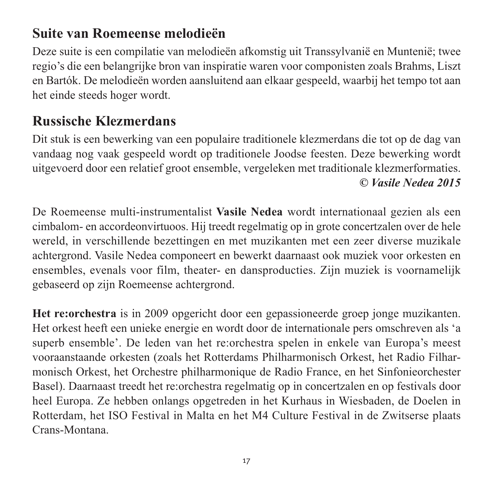# **Suite van Roemeense melodieën**

Deze suite is een compilatie van melodieën afkomstig uit Transsylvanië en Muntenië; twee regio's die een belangrijke bron van inspiratie waren voor componisten zoals Brahms, Liszt en Bartók. De melodieën worden aansluitend aan elkaar gespeeld, waarbij het tempo tot aan het einde steeds hoger wordt.

## **Russische Klezmerdans**

Dit stuk is een bewerking van een populaire traditionele klezmerdans die tot op de dag van vandaag nog vaak gespeeld wordt op traditionele Joodse feesten. Deze bewerking wordt uitgevoerd door een relatief groot ensemble, vergeleken met traditionale klezmerformaties. *© Vasile Nedea 2015*

De Roemeense multi-instrumentalist **Vasile Nedea** wordt internationaal gezien als een cimbalom- en accordeonvirtuoos. Hij treedt regelmatig op in grote concertzalen over de hele wereld, in verschillende bezettingen en met muzikanten met een zeer diverse muzikale achtergrond. Vasile Nedea componeert en bewerkt daarnaast ook muziek voor orkesten en ensembles, evenals voor film, theater- en dansproducties. Zijn muziek is voornamelijk gebaseerd op zijn Roemeense achtergrond.

**Het re:orchestra** is in 2009 opgericht door een gepassioneerde groep jonge muzikanten. Het orkest heeft een unieke energie en wordt door de internationale pers omschreven als 'a superb ensemble'. De leden van het re:orchestra spelen in enkele van Europa's meest vooraanstaande orkesten (zoals het Rotterdams Philharmonisch Orkest, het Radio Filhar monisch Orkest, het Orchestre philharmonique de Radio France, en het Sinfonie orchester Basel). Daarnaast treedt het re:orchestra regelmatig op in concertzalen en op festivals door heel Europa. Ze hebben onlangs opgetreden in het Kurhaus in Wiesbaden, de Doelen in Rotterdam, het ISO Festival in Malta en het M4 Culture Festival in de Zwitserse plaats Crans-Montana.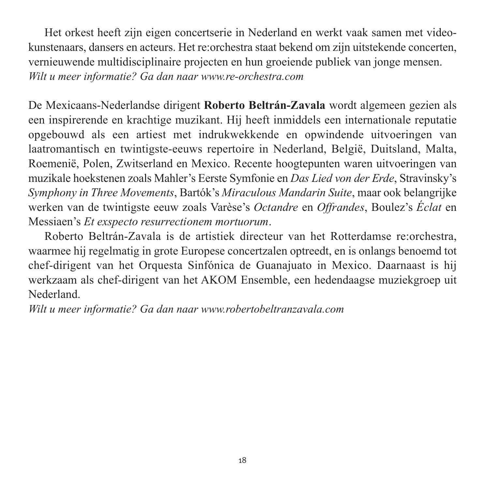Het orkest heeft zijn eigen concertserie in Nederland en werkt vaak samen met videokunstenaars, dansers en acteurs. Het re:orchestra staat bekend om zijn uitstekende concerten, vernieuwende multidisciplinaire projecten en hun groeiende publiek van jonge mensen. *Wilt u meer informatie? Ga dan naar www.re-orchestra.com* 

De Mexicaans-Nederlandse dirigent **Roberto Beltrán-Zavala** wordt algemeen gezien als een inspirerende en krachtige muzikant. Hij heeft inmiddels een internationale reputatie opgebouwd als een artiest met indrukwekkende en opwindende uitvoeringen van laatromantisch en twintigste-eeuws repertoire in Nederland, België, Duitsland, Malta, Roemenië, Polen, Zwitserland en Mexico. Recente hoogtepunten waren uitvoeringen van muzikale hoekstenen zoals Mahler's Eerste Symfonie en *Das Lied von der Erde*, Stravinsky's *Symphony in Three Movements*, Bartók's *Miraculous Mandarin Suite*, maar ook belangrijke werken van de twintigste eeuw zoals Varèse's *Octandre* en *Offrandes*, Boulez's *Éclat* en Messiaen's *Et exspecto resurrectionem mortuorum*.

Roberto Beltrán-Zavala is de artistiek directeur van het Rotterdamse re:orchestra, waarmee hij regelmatig in grote Europese concertzalen optreedt, en is onlangs benoemd tot chef-dirigent van het Orquesta Sinfónica de Guanajuato in Mexico. Daarnaast is hij werkzaam als chef-dirigent van het AKOM Ensemble, een hedendaagse muziek groep uit Nederland.

*Wilt u meer informatie? Ga dan naar www.robertobeltranzavala.com*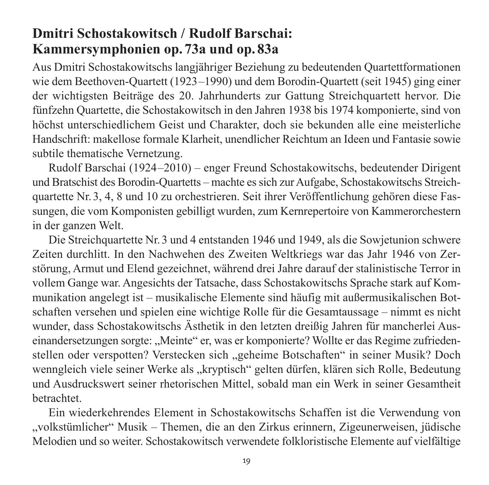## **Dmitri Schostakowitsch / Rudolf Barschai: Kammersymphonien op. 73a und op. 83a**

Aus Dmitri Schostakowitschs langjähriger Beziehung zu bedeutenden Quartettformationen wie dem Beethoven-Quartett (1923–1990) und dem Borodin-Quartett (seit 1945) ging einer der wichtigsten Beiträge des 20. Jahrhunderts zur Gattung Streichquartett hervor. Die fünfzehn Quartette, die Schostakowitsch in den Jahren 1938 bis 1974 komponierte, sind von höchst unterschiedlichem Geist und Charakter, doch sie bekunden alle eine meisterliche Hand schrift: makellose formale Klarheit, unendlicher Reichtum an Ideen und Fantasie sowie subtile thematische Vernetzung.

Rudolf Barschai (1924–2010) – enger Freund Schostakowitschs, bedeutender Dirigent und Bratschist des Borodin-Quartetts – machte es sich zur Aufgabe, Schostakowitschs Streich quartette Nr. 3, 4, 8 und 10 zu orchestrieren. Seit ihrer Veröffentlichung gehören diese Fas sungen, die vom Komponisten gebilligt wurden, zum Kernrepertoire von Kammerorchestern in der ganzen Welt.

Die Streichquartette Nr. 3 und 4 entstanden 1946 und 1949, als die Sowjetunion schwere Zeiten durchlitt. In den Nachwehen des Zweiten Weltkriegs war das Jahr 1946 von Zer störung, Armut und Elend gezeichnet, während drei Jahre darauf der stalinistische Terror in vollem Gange war. Angesichts der Tatsache, dass Schostakowitschs Sprache stark auf Kom munikation angelegt ist – musikalische Elemente sind häufig mit außermusikalischen Botschaften versehen und spielen eine wichtige Rolle für die Gesamtaussage – nimmt es nicht wunder, dass Schostakowitschs Ästhetik in den letzten dreißig Jahren für mancherlei Aus einandersetzungen sorgte: "Meinte" er, was er komponierte? Wollte er das Regime zufriedenstellen oder verspotten? Verstecken sich "geheime Botschaften" in seiner Musik? Doch wenngleich viele seiner Werke als "kryptisch" gelten dürfen, klären sich Rolle, Bedeutung und Ausdruckswert seiner rhetorischen Mittel, sobald man ein Werk in seiner Gesamtheit betrachtet.

Ein wiederkehrendes Element in Schostakowitschs Schaffen ist die Verwendung von "volkstümlicher" Musik – Themen, die an den Zirkus erinnern, Zigeunerweisen, jüdische Melodien und so weiter. Schostakowitsch verwendete folkloristische Elemente auf vielfältige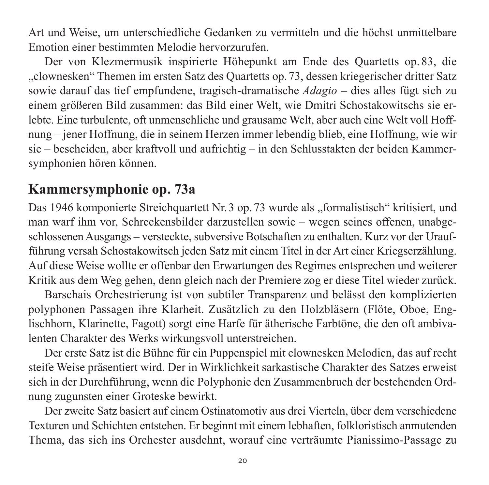Art und Weise, um unterschiedliche Gedanken zu vermitteln und die höchst unmittelbare Emotion einer bestimmten Melodie hervorzurufen.

Der von Klezmermusik inspirierte Höhepunkt am Ende des Quartetts op. 83, die "clownesken" Themen im ersten Satz des Quartetts op. 73, dessen kriegerischer dritter Satz sowie darauf das tief empfundene, tragisch-dramatische *Adagio* – dies alles fügt sich zu einem größeren Bild zusammen: das Bild einer Welt, wie Dmitri Schostakowitschs sie er lebte. Eine turbulente, oft unmenschliche und grausame Welt, aber auch eine Welt voll Hoffnung – jener Hoffnung, die in seinem Herzen immer lebendig blieb, eine Hoffnung, wie wir sie – bescheiden, aber kraftvoll und aufrichtig – in den Schlusstakten der beiden Kammer symphonien hören können.

### **Kammersymphonie op. 73a**

Das 1946 komponierte Streichquartett Nr. 3 op. 73 wurde als "formalistisch" kritisiert, und man warf ihm vor, Schreckensbilder darzustellen sowie – wegen seines offenen, unabgeschlossenen Ausgangs – versteckte, subversive Botschaften zu enthalten. Kurz vor der Uraufführung versah Schostakowitsch jeden Satz mit einem Titel in der Art einer Kriegserzählung. Auf diese Weise wollte er offenbar den Erwartungen des Regimes entsprechen und weiterer Kritik aus dem Weg gehen, denn gleich nach der Premiere zog er diese Titel wieder zurück.

Barschais Orchestrierung ist von subtiler Transparenz und belässt den komplizierten polyphonen Passagen ihre Klarheit. Zusätzlich zu den Holzbläsern (Flöte, Oboe, Englischhorn, Klarinette, Fagott) sorgt eine Harfe für ätherische Farbtöne, die den oft ambivalenten Charakter des Werks wirkungsvoll unterstreichen.

Der erste Satz ist die Bühne für ein Puppenspiel mit clownesken Melodien, das auf recht steife Weise präsentiert wird. Der in Wirklichkeit sarkastische Charakter des Satzes erweist sich in der Durchführung, wenn die Polyphonie den Zusammenbruch der bestehenden Ord nung zugunsten einer Groteske bewirkt.

Der zweite Satz basiert auf einem Ostinatomotiv aus drei Vierteln, über dem verschiedene Texturen und Schichten entstehen. Er beginnt mit einem lebhaften, folkloristisch anmutenden Thema, das sich ins Orchester ausdehnt, worauf eine verträumte Pianissimo-Passage zu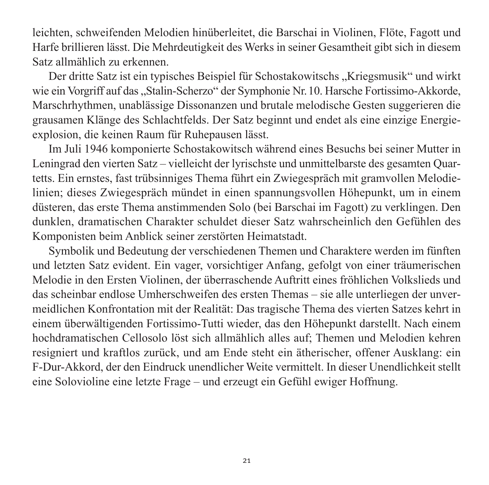leichten, schweifenden Melodien hinüberleitet, die Barschai in Violinen, Flöte, Fagott und Harfe brillieren lässt. Die Mehrdeutigkeit des Werks in seiner Gesamtheit gibt sich in diesem Satz allmählich zu erkennen.

Der dritte Satz ist ein typisches Beispiel für Schostakowitschs "Kriegsmusik" und wirkt wie ein Vorgriff auf das "Stalin-Scherzo" der Symphonie Nr. 10. Harsche Fortissimo-Akkorde, Marschrhythmen, unablässige Dissonanzen und brutale melodische Gesten suggerieren die grausamen Klänge des Schlachtfelds. Der Satz beginnt und endet als eine einzige Energie explosion, die keinen Raum für Ruhepausen lässt.

Im Juli 1946 komponierte Schostakowitsch während eines Besuchs bei seiner Mutter in Leningrad den vierten Satz – vielleicht der lyrischste und unmittelbarste des gesamten Quar tetts. Ein ernstes, fast trübsinniges Thema führt ein Zwiegespräch mit gramvollen Melodie linien; dieses Zwiegespräch mündet in einen spannungsvollen Höhepunkt, um in einem düsteren, das erste Thema anstimmenden Solo (bei Barschai im Fagott) zu verklingen. Den dunklen, dramatischen Charakter schuldet dieser Satz wahrscheinlich den Gefühlen des Komponisten beim Anblick seiner zerstörten Heimatstadt.

Symbolik und Bedeutung der verschiedenen Themen und Charaktere werden im fünften und letzten Satz evident. Ein vager, vorsichtiger Anfang, gefolgt von einer träumerischen Melodie in den Ersten Violinen, der überraschende Auftritt eines fröhlichen Volkslieds und das scheinbar endlose Umherschweifen des ersten Themas – sie alle unterliegen der unver meidlichen Konfrontation mit der Realität: Das tragische Thema des vierten Satzes kehrt in einem überwältigenden Fortissimo-Tutti wieder, das den Höhepunkt darstellt. Nach einem hochdramatischen Cellosolo löst sich allmählich alles auf; Themen und Melodien kehren resigniert und kraftlos zurück, und am Ende steht ein ätherischer, offener Ausklang: ein F-Dur-Akkord, der den Eindruck unendlicher Weite vermittelt. In dieser Unendlichkeit stellt eine Solovioline eine letzte Frage – und erzeugt ein Gefühl ewiger Hoffnung.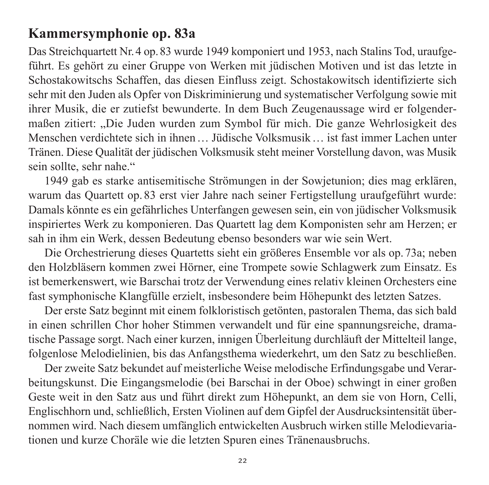## **Kammersymphonie op. 83a**

Das Streichquartett Nr. 4 op. 83 wurde 1949 komponiert und 1953, nach Stalins Tod, uraufgeführt. Es gehört zu einer Gruppe von Werken mit jüdischen Motiven und ist das letzte in Schosta kowitschs Schaffen, das diesen Einfluss zeigt. Schostakowitsch identifizierte sich sehr mit den Juden als Opfer von Diskriminierung und systematischer Verfolgung sowie mit ihrer Musik, die er zutiefst bewunderte. In dem Buch Zeugenaussage wird er folgender maßen zitiert: "Die Juden wurden zum Symbol für mich. Die ganze Wehrlosigkeit des Menschen verdichtete sich in ihnen … Jüdische Volksmusik … ist fast immer Lachen unter Tränen. Diese Qualität der jüdischen Volksmusik steht meiner Vorstellung davon, was Musik sein sollte, sehr nahe."

1949 gab es starke antisemitische Strömungen in der Sowjetunion; dies mag erklären, warum das Quartett op. 83 erst vier Jahre nach seiner Fertigstellung uraufgeführt wurde: Damals könnte es ein gefährliches Unterfangen gewesen sein, ein von jüdischer Volksmusik inspiriertes Werk zu komponieren. Das Quartett lag dem Komponisten sehr am Herzen; er sah in ihm ein Werk, dessen Bedeutung ebenso besonders war wie sein Wert.

Die Orchestrierung dieses Quartetts sieht ein größeres Ensemble vor als op. 73a; neben den Holzbläsern kommen zwei Hörner, eine Trompete sowie Schlagwerk zum Einsatz. Es ist bemerkenswert, wie Barschai trotz der Verwendung eines relativ kleinen Orchesters eine fast symphonische Klangfülle erzielt, insbesondere beim Höhepunkt des letzten Satzes.

Der erste Satz beginnt mit einem folkloristisch getönten, pastoralen Thema, das sich bald in einen schrillen Chor hoher Stimmen verwandelt und für eine spannungsreiche, drama tische Passage sorgt. Nach einer kurzen, innigen Überleitung durchläuft der Mittelteil lange, folgenlose Melodielinien, bis das Anfangsthema wiederkehrt, um den Satz zu beschließen.

Der zweite Satz bekundet auf meisterliche Weise melodische Erfindungsgabe und Verar beitungskunst. Die Eingangsmelodie (bei Barschai in der Oboe) schwingt in einer großen Geste weit in den Satz aus und führt direkt zum Höhepunkt, an dem sie von Horn, Celli, Englischhorn und, schließlich, Ersten Violinen auf dem Gipfel der Ausdrucksintensität übernommen wird. Nach diesem umfänglich entwickelten Ausbruch wirken stille Melodie varia tionen und kurze Choräle wie die letzten Spuren eines Tränenausbruchs.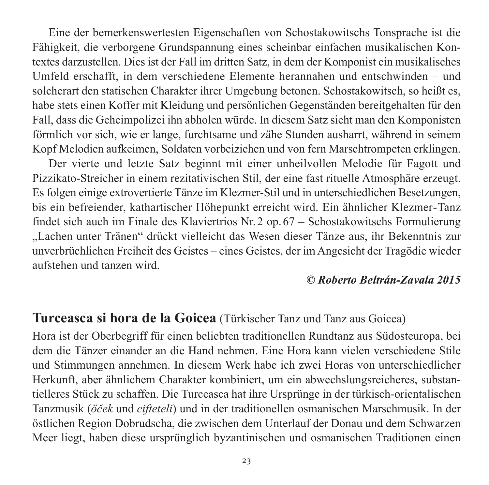Eine der bemerkenswertesten Eigenschaften von Schostakowitschs Tonsprache ist die Fähigkeit, die verborgene Grundspannung eines scheinbar einfachen musikalischen Kontextes darzustellen. Dies ist der Fall im dritten Satz, in dem der Komponist ein musikalisches Umfeld erschafft, in dem verschiedene Elemente herannahen und entschwinden – und solcherart den statischen Charakter ihrer Umgebung betonen. Schostakowitsch, so heißt es, habe stets einen Koffer mit Kleidung und persönlichen Gegenständen bereitgehalten für den Fall, dass die Geheimpolizei ihn abholen würde. In diesem Satz sieht man den Komponisten förmlich vor sich, wie er lange, furchtsame und zähe Stunden ausharrt, während in seinem Kopf Melodien aufkeimen, Soldaten vorbeiziehen und von fern Marschtrompeten erklingen.

Der vierte und letzte Satz beginnt mit einer unheilvollen Melodie für Fagott und Pizzikato-Streicher in einem rezitativischen Stil, der eine fast rituelle Atmosphäre erzeugt. Es folgen einige extrovertierte Tänze im Klezmer-Stil und in unterschiedlichen Besetzungen, bis ein befreiender, kathartischer Höhepunkt erreicht wird. Ein ähnlicher Klezmer-Tanz findet sich auch im Finale des Klaviertrios Nr. 2 op. 67 – Schostakowitschs Formulierung "Lachen unter Tränen" drückt vielleicht das Wesen dieser Tänze aus, ihr Bekenntnis zur unver brüchlichen Freiheit des Geistes – eines Geistes, der im Angesicht der Tragödie wieder auf stehen und tanzen wird.

### *© Roberto Beltrán-Zavala 2015*

### **Turceasca si hora de la Goicea** (Türkischer Tanz und Tanz aus Goicea)

Hora ist der Oberbegriff für einen beliebten traditionellen Rundtanz aus Südosteuropa, bei dem die Tänzer einander an die Hand nehmen. Eine Hora kann vielen verschiedene Stile und Stimmungen annehmen. In diesem Werk habe ich zwei Horas von unterschiedlicher Herkunft, aber ähnlichem Charakter kombiniert, um ein abwechslungsreicheres, substantielleres Stück zu schaffen. Die Turceasca hat ihre Ursprünge in der türkisch-orientalischen Tanzmusik (*öček* und *cifteteli*) und in der traditionellen osmanischen Marschmusik. In der östlichen Region Dobrudscha, die zwischen dem Unterlauf der Donau und dem Schwarzen Meer liegt, haben diese ursprünglich byzantinischen und osmanischen Traditionen einen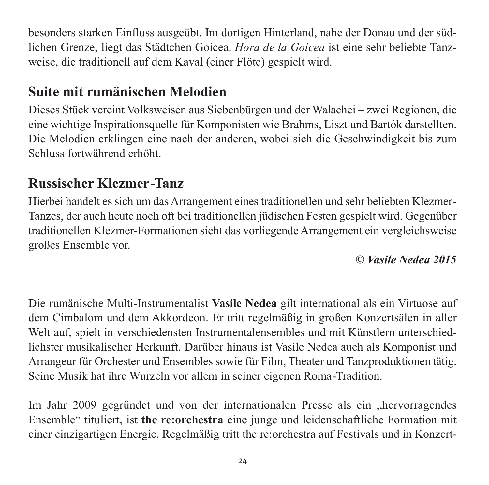besonders starken Einfluss ausgeübt. Im dortigen Hinterland, nahe der Donau und der süd lichen Grenze, liegt das Städtchen Goicea. *Hora de la Goicea* ist eine sehr beliebte Tanz weise, die traditionell auf dem Kaval (einer Flöte) gespielt wird.

# **Suite mit rumänischen Melodien**

Dieses Stück vereint Volksweisen aus Siebenbürgen und der Walachei – zwei Regionen, die eine wichtige Inspirationsquelle für Komponisten wie Brahms, Liszt und Bartók darstellten. Die Melodien erklingen eine nach der anderen, wobei sich die Geschwindigkeit bis zum Schluss fortwährend erhöht.

# **Russischer Klezmer-Tanz**

Hierbei handelt es sich um das Arrangement eines traditionellen und sehr beliebten Klezmer-Tanzes, der auch heute noch oft bei traditionellen jüdischen Festen gespielt wird. Gegenüber traditionellen Klezmer-Formationen sieht das vorliegende Arrangement ein vergleichsweise großes Ensemble vor.

*© Vasile Nedea 2015*

Die rumänische Multi-Instrumentalist **Vasile Nedea** gilt international als ein Virtuose auf dem Cimbalom und dem Akkordeon. Er tritt regelmäßig in großen Konzertsälen in aller Welt auf, spielt in verschiedensten Instrumentalensembles und mit Künstlern unterschiedlichster musikalischer Herkunft. Darüber hinaus ist Vasile Nedea auch als Komponist und Arrangeur für Orchester und Ensembles sowie für Film, Theater und Tanzproduktionen tätig. Seine Musik hat ihre Wurzeln vor allem in seiner eigenen Roma-Tradition.

Im Jahr 2009 gegründet und von der internationalen Presse als ein "hervorragendes Ensemble" tituliert, ist **the re:orchestra** eine junge und leidenschaftliche Formation mit einer einzig artigen Energie. Regelmäßig tritt the re:orchestra auf Festivals und in Konzert -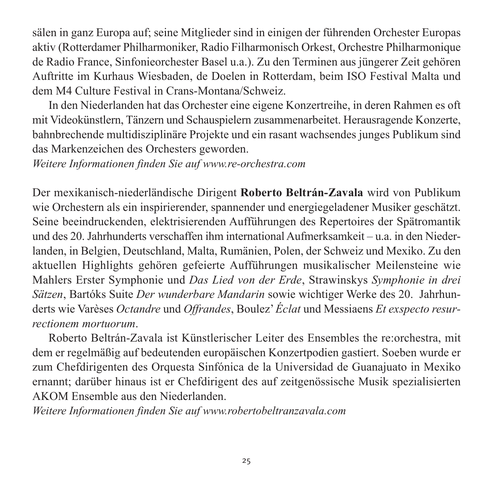sälen in ganz Europa auf; seine Mitglieder sind in einigen der führenden Orchester Europas aktiv (Rotterdamer Philharmoniker, Radio Filharmonisch Orkest, Orchestre Philharmonique de Radio France, Sinfonieorchester Basel u.a.). Zu den Terminen aus jüngerer Zeit gehören Auftritte im Kurhaus Wiesbaden, de Doelen in Rotterdam, beim ISO Festival Malta und dem M4 Culture Festival in Crans-Montana/Schweiz.

In den Niederlanden hat das Orchester eine eigene Konzertreihe, in deren Rahmen es oft mit Videokünstlern, Tänzern und Schauspielern zusammenarbeitet. Herausragende Konzerte, bahnbrechende multidisziplinäre Projekte und ein rasant wachsendes junges Publikum sind das Markenzeichen des Orchesters geworden.

*Weitere Informationen finden Sie auf www.re-orchestra.com* 

Der mexikanisch-niederländische Dirigent **Roberto Beltrán-Zavala** wird von Publikum wie Orchestern als ein inspirierender, spannender und energiegeladener Musiker geschätzt. Seine beeindruckenden, elektrisierenden Aufführungen des Repertoires der Spätromantik und des 20. Jahrhunderts verschaffen ihm international Aufmerksamkeit – u.a. in den Nieder landen, in Belgien, Deutschland, Malta, Rumänien, Polen, der Schweiz und Mexiko. Zu den aktuellen Highlights gehören gefeierte Aufführungen musikalischer Meilensteine wie Mahlers Erster Symphonie und *Das Lied von der Erde*, Strawinskys *Symphonie in drei Sätzen*, Bartóks Suite *Der wunderbare Mandarin* sowie wichtiger Werke des 20. Jahrhun derts wie Varèses *Octandre* und *Offrandes*, Boulez' *Éclat* und Messiaens *Et exspecto resur rectionem mortuorum*.

Roberto Beltrán-Zavala ist Künstlerischer Leiter des Ensembles the re:orchestra, mit dem er regelmäßig auf bedeutenden europäischen Konzertpodien gastiert. Soeben wurde er zum Chefdirigenten des Orquesta Sinfónica de la Universidad de Guanajuato in Mexiko ernannt; darüber hinaus ist er Chefdirigent des auf zeitgenössische Musik spezialisierten AKOM Ensemble aus den Niederlanden.

*Weitere Informationen finden Sie auf www.robertobeltranzavala.com*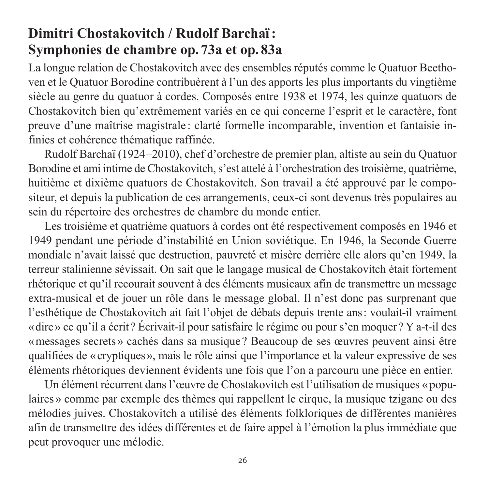# **Dimitri Chostakovitch / Rudolf Barchaï : Symphonies de chambre op. 73a et op. 83a**

La longue relation de Chostakovitch avec des ensembles réputés comme le Quatuor Beetho ven et le Quatuor Borodine contribuèrent à l'un des apports les plus importants du vingtième siècle au genre du quatuor à cordes. Composés entre 1938 et 1974, les quinze quatuors de Chostakovitch bien qu'extrêmement variés en ce qui concerne l'esprit et le caractère, font preuve d'une maîtrise magistrale: clarté formelle incomparable, invention et fantaisie infinies et cohérence thématique raffinée.

Rudolf Barchaï (1924–2010), chef d'orchestre de premier plan, altiste au sein du Quatuor Borodine et ami intime de Chostakovitch, s'est attelé à l'orchestration des troisième, quatrième, huitième et dixième quatuors de Chostakovitch. Son travail a été approuvé par le compositeur, et depuis la publication de ces arrangements, ceux-ci sont devenus très populaires au sein du répertoire des orchestres de chambre du monde entier.

Les troisième et quatrième quatuors à cordes ont été respectivement composés en 1946 et 1949 pendant une période d'instabilité en Union soviétique. En 1946, la Seconde Guerre mondiale n'avait laissé que destruction, pauvreté et misère derrière elle alors qu'en 1949, la terreur stalinienne sévissait. On sait que le langage musical de Chostakovitch était fortement rhétorique et qu'il recourait souvent à des éléments musicaux afin de transmettre un message extra-musical et de jouer un rôle dans le message global. Il n'est donc pas surprenant que l'esthétique de Chostakovitch ait fait l'objet de débats depuis trente ans: voulait-il vraiment «dire» ce qu'il a écrit? Écrivait-il pour satisfaire le régime ou pour s'en moquer? Y a-t-il des «messages secrets» cachés dans sa musique? Beaucoup de ses œuvres peuvent ainsi être qualifiées de «cryptiques», mais le rôle ainsi que l'importance et la valeur expressive de ses éléments rhétoriques deviennent évidents une fois que l'on a parcouru une pièce en entier.

Un élément récurrent dans l'œuvre de Chostakovitch est l'utilisation de musiques «popu laires » comme par exemple des thèmes qui rappellent le cirque, la musique tzigane ou des mélodies juives. Chostakovitch a utilisé des éléments folkloriques de différentes manières afin de transmettre des idées différentes et de faire appel à l'émotion la plus immédiate que peut provoquer une mélodie.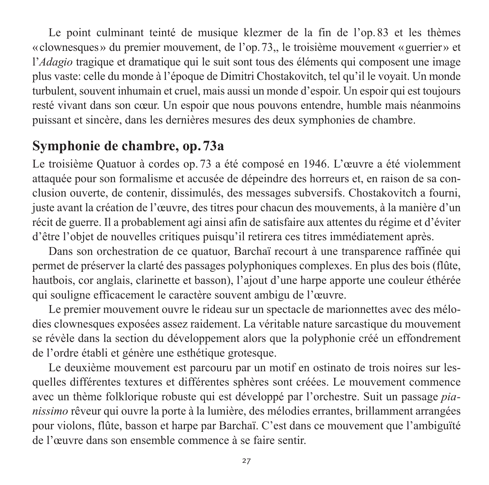Le point culminant teinté de musique klezmer de la fin de l'op.83 et les thèmes «clownesques» du premier mouvement, de l'op.73,, le troisième mouvement «guerrier» et l'*Adagio* tragique et dramatique qui le suit sont tous des éléments qui composent une image plus vaste: celle du monde à l'époque de Dimitri Chostakovitch, tel qu'il le voyait. Un monde turbulent, souvent inhumain et cruel, mais aussi un monde d'espoir. Un espoir qui est toujours resté vivant dans son cœur. Un espoir que nous pouvons entendre, humble mais néanmoins puissant et sincère, dans les dernières mesures des deux symphonies de chambre.

# **Symphonie de chambre, op. 73a**

Le troisième Quatuor à cordes op. 73 a été composé en 1946. L'œuvre a été violemment attaquée pour son formalisme et accusée de dépeindre des horreurs et, en raison de sa conclusion ouverte, de contenir, dissimulés, des messages subversifs. Chostakovitch a fourni, juste avant la création de l'œuvre, des titres pour chacun des mouvements, à la manière d'un récit de guerre. Il a probablement agi ainsi afin de satisfaire aux attentes du régime et d'éviter d'être l'objet de nouvelles critiques puisqu'il retirera ces titres immédiatement après.

Dans son orchestration de ce quatuor, Barchaï recourt à une transparence raffinée qui permet de préserver la clarté des passages polyphoniques complexes. En plus des bois (flûte, hautbois, cor anglais, clarinette et basson), l'ajout d'une harpe apporte une couleur éthérée qui souligne efficacement le caractère souvent ambigu de l'œuvre.

Le premier mouvement ouvre le rideau sur un spectacle de marionnettes avec des mélodies clownesques exposées assez raidement. La véritable nature sarcastique du mouvement se révèle dans la section du développement alors que la polyphonie créé un effondrement de l'ordre établi et génère une esthétique grotesque.

Le deuxième mouvement est parcouru par un motif en ostinato de trois noires sur lesquelles différentes textures et différentes sphères sont créées. Le mouvement commence avec un thème folklorique robuste qui est développé par l'orchestre. Suit un passage *pia nissimo* rêveur qui ouvre la porte à la lumière, des mélodies errantes, brillamment arrangées pour violons, flûte, basson et harpe par Barchaï. C'est dans ce mouvement que l'ambiguïté de l'œuvre dans son ensemble commence à se faire sentir.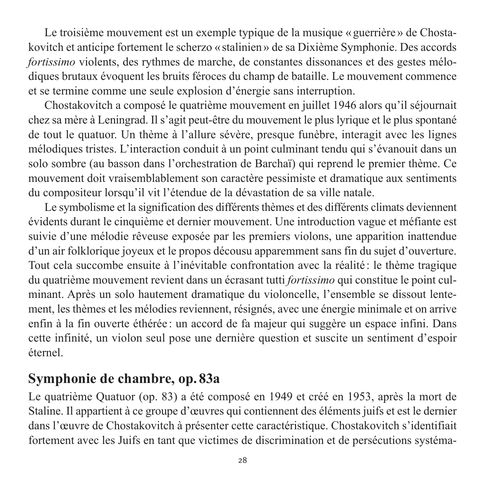Le troisième mouvement est un exemple typique de la musique « guerrière » de Chostakovitch et anticipe fortement le scherzo «stalinien» de sa Dixième Symphonie. Des accords *fortissimo* violents, des rythmes de marche, de constantes dissonances et des gestes mélodiques brutaux évoquent les bruits féroces du champ de bataille. Le mouvement commence et se termine comme une seule explosion d'énergie sans interruption.

Chostakovitch a composé le quatrième mouvement en juillet 1946 alors qu'il séjournait chez sa mère à Leningrad. Il s'agit peut-être du mouvement le plus lyrique et le plus spontané de tout le quatuor. Un thème à l'allure sévère, presque funèbre, interagit avec les lignes mélodiques tristes. L'interaction conduit à un point culminant tendu qui s'évanouit dans un solo sombre (au basson dans l'orchestration de Barchaï) qui reprend le premier thème. Ce mouvement doit vraisemblablement son caractère pessimiste et dramatique aux sentiments du compositeur lorsqu'il vit l'étendue de la dévastation de sa ville natale.

Le symbolisme et la signification des différents thèmes et des différents climats deviennent évidents durant le cinquième et dernier mouvement. Une introduction vague et méfiante est suivie d'une mélodie rêveuse exposée par les premiers violons, une apparition inattendue d'un air folklorique joyeux et le propos décousu apparemment sans fin du sujet d'ouverture. Tout cela succombe ensuite à l'inévitable confrontation avec la réalité : le thème tragique du quatrième mouvement revient dans un écrasant tutti *fortissimo* qui constitue le point culminant. Après un solo hautement dramatique du violoncelle, l'ensemble se dissout lente ment, les thèmes et les mélodies reviennent, résignés, avec une énergie minimale et on arrive enfin à la fin ouverte éthérée : un accord de fa majeur qui suggère un espace infini. Dans cette infinité, un violon seul pose une dernière question et suscite un sentiment d'espoir éternel.

## **Symphonie de chambre, op. 83a**

Le quatrième Quatuor (op. 83) a été composé en 1949 et créé en 1953, après la mort de Staline. Il appartient à ce groupe d'œuvres qui contiennent des éléments juifs et est le dernier dans l'œuvre de Chostakovitch à présenter cette caractéristique. Chostakovitch s'identifiait fortement avec les Juifs en tant que victimes de discrimination et de persécutions systéma -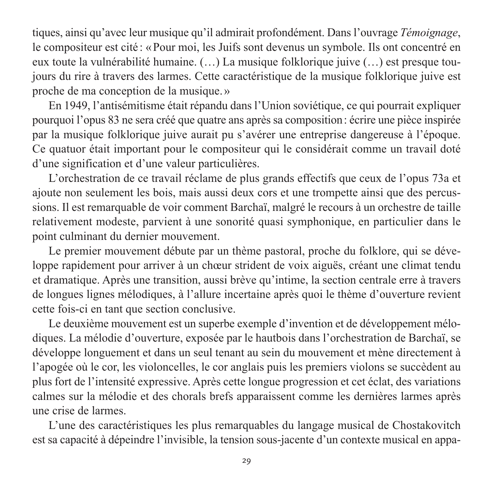tiques, ainsi qu'avec leur musique qu'il admirait profondément. Dans l'ouvrage *Témoignage*, le compositeur est cité : « Pour moi, les Juifs sont devenus un symbole. Ils ont concentré en eux toute la vulnérabilité humaine. (…) La musique folklorique juive (…) est presque tou jours du rire à travers des larmes. Cette caractéristique de la musique folklorique juive est proche de ma conception de la musique. »

En 1949, l'antisémitisme était répandu dans l'Union soviétique, ce qui pourrait expliquer pourquoi l'opus 83 ne sera créé que quatre ans après sa composition: écrire une pièce inspirée par la musique folklorique juive aurait pu s'avérer une entreprise dangereuse à l'époque. Ce quatuor était important pour le compositeur qui le considérait comme un travail doté d'une signification et d'une valeur particulières.

L'orchestration de ce travail réclame de plus grands effectifs que ceux de l'opus 73a et ajoute non seulement les bois, mais aussi deux cors et une trompette ainsi que des percussions. Il est remarquable de voir comment Barchaï, malgré le recours à un orchestre de taille relativement modeste, parvient à une sonorité quasi symphonique, en particulier dans le point culminant du dernier mouvement.

Le premier mouvement débute par un thème pastoral, proche du folklore, qui se développe rapidement pour arriver à un chœur strident de voix aiguës, créant une climat tendu et dramatique. Après une transition, aussi brève qu'intime, la section centrale erre à travers de longues lignes mélodiques, à l'allure incertaine après quoi le thème d'ouverture revient cette fois-ci en tant que section conclusive.

Le deuxième mouvement est un superbe exemple d'invention et de développement mélodiques. La mélodie d'ouverture, exposée par le hautbois dans l'orchestration de Barchaï, se développe longuement et dans un seul tenant au sein du mouvement et mène directement à l'apogée où le cor, les violoncelles, le cor anglais puis les premiers violons se succèdent au plus fort de l'intensité expressive. Après cette longue progression et cet éclat, des variations calmes sur la mélodie et des chorals brefs apparaissent comme les dernières larmes après une crise de larmes.

L'une des caractéristiques les plus remarquables du langage musical de Chostakovitch est sa capacité à dépeindre l'invisible, la tension sous-jacente d'un contexte musical en appa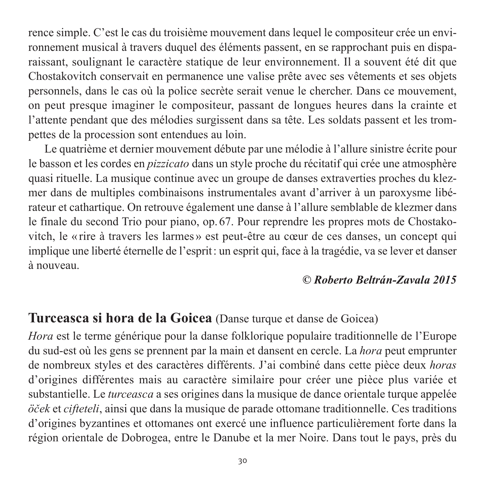rence simple. C'est le cas du troisième mouvement dans lequel le compositeur crée un envi ronnement musical à travers duquel des éléments passent, en se rapprochant puis en disparaissant, soulignant le caractère statique de leur environnement. Il a souvent été dit que Chosta kovitch conservait en permanence une valise prête avec ses vêtements et ses objets personnels, dans le cas où la police secrète serait venue le chercher. Dans ce mouvement, on peut presque imaginer le compositeur, passant de longues heures dans la crainte et l'attente pendant que des mélodies surgissent dans sa tête. Les soldats passent et les trompettes de la procession sont entendues au loin.

Le quatrième et dernier mouvement débute par une mélodie à l'allure sinistre écrite pour le basson et les cordes en *pizzicato* dans un style proche du récitatif qui crée une atmosphère quasi rituelle. La musique continue avec un groupe de danses extraverties proches du klezmer dans de multiples combinaisons instrumentales avant d'arriver à un paroxysme libé rateur et cathartique. On retrouve également une danse à l'allure semblable de klezmer dans le finale du second Trio pour piano, op. 67. Pour reprendre les propres mots de Chostako vitch, le « rire à travers les larmes » est peut-être au cœur de ces danses, un concept qui implique une liberté éternelle de l'esprit: un esprit qui, face à la tragédie, va se lever et danser à nouveau.

#### *© Roberto Beltrán-Zavala 2015*

### **Turceasca si hora de la Goicea** (Danse turque et danse de Goicea)

*Hora* est le terme générique pour la danse folklorique populaire traditionnelle de l'Europe du sud-est où les gens se prennent par la main et dansent en cercle. La *hora* peut emprunter de nombreux styles et des caractères différents. J'ai combiné dans cette pièce deux *horas* d'origines différentes mais au caractère similaire pour créer une pièce plus variée et substantielle. Le *turceasca* a ses origines dans la musique de dance orientale turque appelée *öček* et *cifteteli*, ainsi que dans la musique de parade ottomane traditionnelle. Ces traditions d'origines byzantines et ottomanes ont exercé une influence particulièrement forte dans la région orientale de Dobrogea, entre le Danube et la mer Noire. Dans tout le pays, près du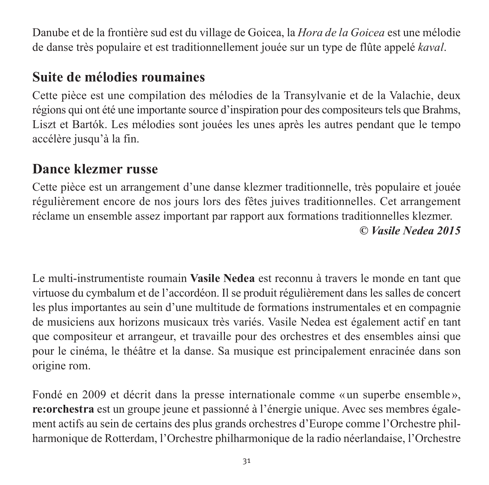Danube et de la frontière sud est du village de Goicea, la *Hora de la Goicea* est une mélodie de danse très populaire et est traditionnellement jouée sur un type de flûte appelé *kaval*.

# **Suite de mélodies roumaines**

Cette pièce est une compilation des mélodies de la Transylvanie et de la Valachie, deux régions qui ont été une importante source d'inspiration pour des compositeurs tels que Brahms, Liszt et Bartók. Les mélodies sont jouées les unes après les autres pendant que le tempo accélère jusqu'à la fin.

## **Dance klezmer russe**

Cette pièce est un arrangement d'une danse klezmer traditionnelle, très populaire et jouée régulièrement encore de nos jours lors des fêtes juives traditionnelles. Cet arrangement réclame un ensemble assez important par rapport aux formations traditionnelles klezmer. *© Vasile Nedea 2015*

Le multi-instrumentiste roumain **Vasile Nedea** est reconnu à travers le monde en tant que virtuose du cymbalum et de l'accordéon. Il se produit régulièrement dans les salles de concert les plus importantes au sein d'une multitude de formations instrumentales et en compagnie de musiciens aux horizons musicaux très variés. Vasile Nedea est également actif en tant que compositeur et arrangeur, et travaille pour des orchestres et des ensembles ainsi que pour le cinéma, le théâtre et la danse. Sa musique est principalement enracinée dans son origine rom.

Fondé en 2009 et décrit dans la presse internationale comme « un superbe ensemble », re: orchestra est un groupe jeune et passionné à l'énergie unique. Avec ses membres également actifs au sein de certains des plus grands orchestres d'Europe comme l'Orchestre phil harmonique de Rotterdam, l'Orchestre philharmonique de la radio néerlandaise, l'Orchestre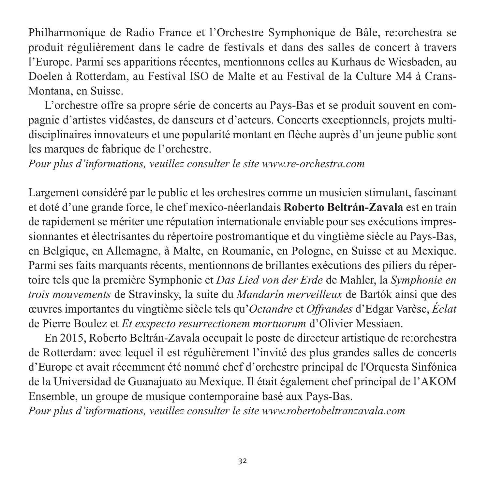Philharmonique de Radio France et l'Orchestre Symphonique de Bâle, re:orchestra se produit régulièrement dans le cadre de festivals et dans des salles de concert à travers l'Europe. Parmi ses apparitions récentes, mentionnons celles au Kurhaus de Wiesbaden, au Doelen à Rotterdam, au Festival ISO de Malte et au Festival de la Culture M4 à Crans-Montana, en Suisse.

L'orchestre offre sa propre série de concerts au Pays-Bas et se produit souvent en compagnie d'artistes vidéastes, de danseurs et d'acteurs. Concerts exceptionnels, projets multi disciplinaires innovateurs et une popularité montant en flèche auprès d'un jeune public sont les marques de fabrique de l'orchestre.

*Pour plus d'informations, veuillez consulter le site www.re-orchestra.com* 

Largement considéré par le public et les orchestres comme un musicien stimulant, fascinant et doté d'une grande force, le chef mexico-néerlandais **Roberto Beltrán-Zavala** est en train de rapidement se mériter une réputation internationale enviable pour ses exécutions impressionnantes et électrisantes du répertoire postromantique et du vingtième siècle au Pays-Bas, en Belgique, en Allemagne, à Malte, en Roumanie, en Pologne, en Suisse et au Mexique. Parmi ses faits marquants récents, mentionnons de brillantes exécutions des piliers du répertoire tels que la première Symphonie et *Das Lied von der Erde* de Mahler, la *Symphonie en trois mouvements* de Stravinsky, la suite du *Mandarin merveilleux* de Bartók ainsi que des œuvres importantes du vingtième siècle tels qu'*Octandre* et *Offrandes* d'Edgar Varèse, *Éclat* de Pierre Boulez et *Et exspecto resurrectionem mortuorum* d'Olivier Messiaen.

En 2015, Roberto Beltrán-Zavala occupait le poste de directeur artistique de re:orchestra de Rotterdam: avec lequel il est régulièrement l'invité des plus grandes salles de concerts d'Europe et avait récemment été nommé chef d'orchestre principal de l'Orquesta Sinfónica de la Universidad de Guanajuato au Mexique. Il était également chef principal de l'AKOM Ensemble, un groupe de musique contemporaine basé aux Pays-Bas.

*Pour plus d'informations, veuillez consulter le site www.robertobeltranzavala.com*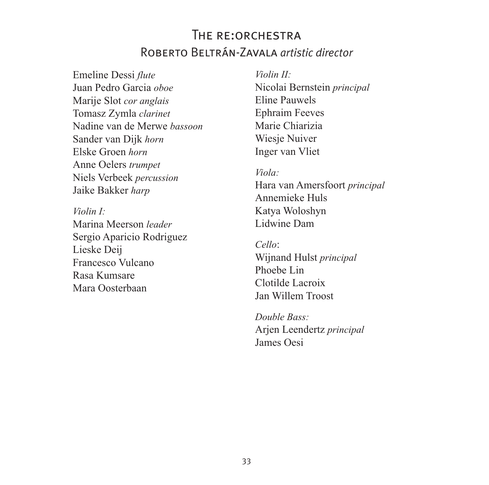## THE RE: ORCHESTRA Roberto Beltrán-Zavala *artistic director*

Emeline Dessi *flute* Juan Pedro Garcia *oboe* Marije Slot *cor anglais* Tomasz Zymla *clarinet* Nadine van de Merwe *bassoon* Sander van Dijk *horn* Elske Groen *horn* Anne Oelers *trumpet* Niels Verbeek *percussion* Jaike Bakker *harp*

*Violin I:* Marina Meerson *leader* Sergio Aparicio Rodriguez Lieske Deij Francesco Vulcano Rasa Kumsare Mara Oosterbaan

*Violin II:* Nicolai Bernstein *principal* Eline Pauwels Ephraim Feeves Marie Chiarizia Wiesie Nuiver Inger van Vliet

*Viola:* Hara van Amersfoort *principal* Annemieke Huls Katya Woloshyn Lidwine Dam

*Cello*: Wijnand Hulst *principal* Phoebe Lin Clotilde Lacroix Jan Willem Troost

*Double Bass:* Arjen Leendertz *principal* James Oesi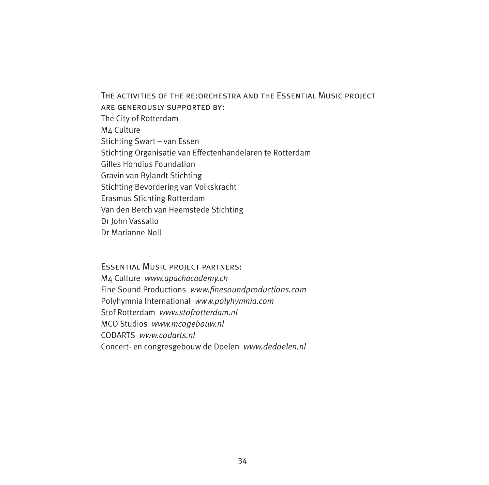The activities of the re:orchestra and the Essential Music project are generously supported by: The City of Rotterdam M4 Culture Stichting Swart – van Essen Stichting Organisatie van Effectenhandelaren te Rotterdam Gilles Hondius Foundation Gravin van Bylandt Stichting Stichting Bevordering van Volkskracht Erasmus Stichting Rotterdam Van den Berch van Heemstede Stichting Dr John Vassallo Dr Marianne Noll

Essential Music project partners: M4 Culture *www.apachacademy.ch* Fine Sound Productions *www.finesoundproductions.com* Polyhymnia International *www.polyhymnia.com* Stof Rotterdam *www.stofrotterdam.nl* MCO Studios *www.mcogebouw.nl* CODARTS *www.codarts.nl* Concert- en congresgebouw de Doelen *www.dedoelen.nl*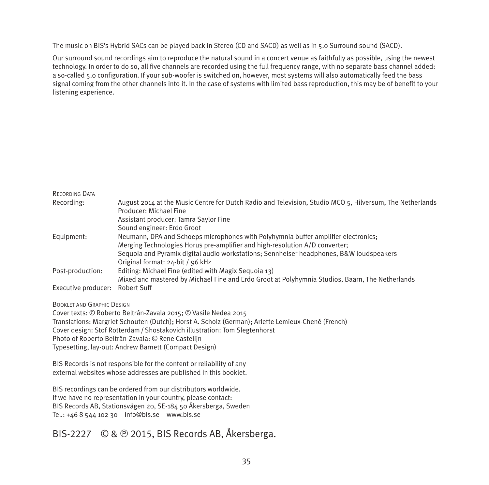The music on BIS's Hybrid SACs can be played back in Stereo (CD and SACD) as well as in 5.0 Surround sound (SACD).

Our surround sound recordings aim to reproduce the natural sound in a concert venue as faithfully as possible, using the newest technology. In order to do so, all five channels are recorded using the full frequency range, with no separate bass channel added: a so-called 5.0 configuration. If your sub-woofer is switched on, however, most systems will also automatically feed the bass signal coming from the other channels into it. In the case of systems with limited bass reproduction, this may be of benefit to your listening experience.

| RECORDING DATA      |                                                                                                          |
|---------------------|----------------------------------------------------------------------------------------------------------|
| Recording:          | August 2014 at the Music Centre for Dutch Radio and Television, Studio MCO 5, Hilversum, The Netherlands |
|                     | Producer: Michael Fine                                                                                   |
|                     | Assistant producer: Tamra Savlor Fine                                                                    |
|                     | Sound engineer: Erdo Groot                                                                               |
| Equipment:          | Neumann, DPA and Schoeps microphones with Polyhymnia buffer amplifier electronics:                       |
|                     | Merging Technologies Horus pre-amplifier and high-resolution A/D converter;                              |
|                     | Sequoia and Pyramix digital audio workstations; Sennheiser headphones, B&W loudspeakers                  |
|                     | Original format: 24-bit / 96 kHz                                                                         |
| Post-production:    | Editing: Michael Fine (edited with Magix Sequoia 13)                                                     |
|                     | Mixed and mastered by Michael Fine and Erdo Groot at Polyhymnia Studios, Baarn, The Netherlands          |
| Executive producer: | Robert Suff                                                                                              |

BOOKLET AND GRAPHIC DESIGN

Cover texts: © Roberto Beltrán-Zavala 2015; © Vasile Nedea 2015

Translations: Margriet Schouten (Dutch); Horst A. Scholz (German); Arlette Lemieux-Chené (French)

Cover design: Stof Rotterdam / Shostakovich illustration: Tom Slegtenhorst

Photo of Roberto Beltrán-Zavala: © Rene Castelijn

Typesetting, lay-out: Andrew Barnett (Compact Design)

BIS Records is not responsible for the content or reliability of any external websites whose addresses are published in this booklet.

BIS recordings can be ordered from our distributors worldwide. If we have no representation in your country, please contact: BIS Records AB, Stationsvägen 20, SE-184 50 Åkersberga, Sweden Tel.: +46 8 544 102 30 info@bis.se www.bis.se

#### BIS-2227 © & 9 2015, BIS Records AB, Åkersberga.